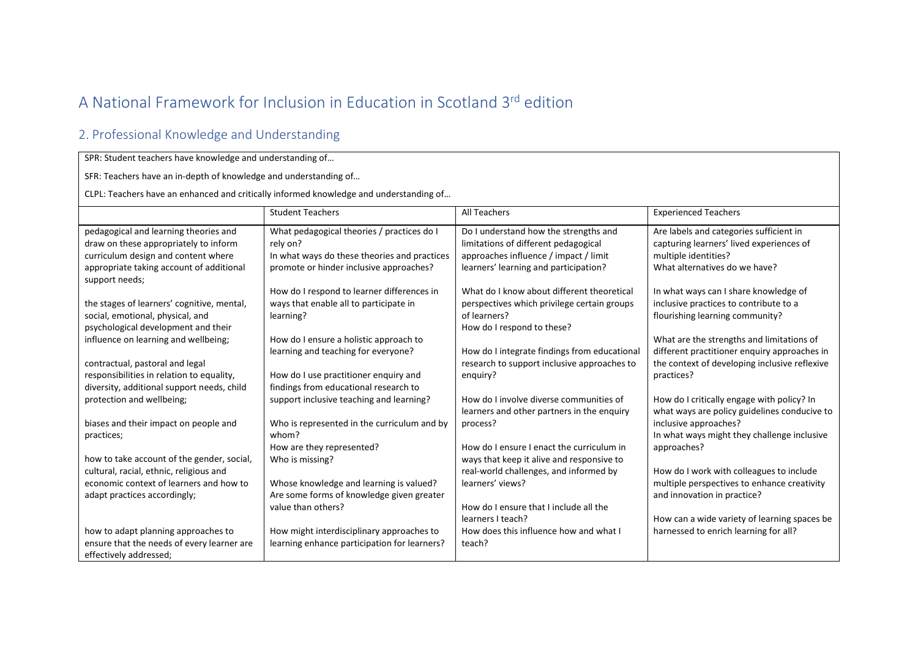## A National Framework for Inclusion in Education in Scotland 3rd edition

## 2. Professional Knowledge and Understanding

## SPR: Student teachers have knowledge and understanding of…

SFR: Teachers have an in-depth of knowledge and understanding of…

CLPL: Teachers have an enhanced and critically informed knowledge and understanding of…

|                                                            | <b>Student Teachers</b>                      | All Teachers                                 | <b>Experienced Teachers</b>                   |
|------------------------------------------------------------|----------------------------------------------|----------------------------------------------|-----------------------------------------------|
|                                                            |                                              |                                              |                                               |
| pedagogical and learning theories and                      | What pedagogical theories / practices do I   | Do I understand how the strengths and        | Are labels and categories sufficient in       |
| draw on these appropriately to inform                      | rely on?                                     | limitations of different pedagogical         | capturing learners' lived experiences of      |
| curriculum design and content where                        | In what ways do these theories and practices | approaches influence / impact / limit        | multiple identities?                          |
| appropriate taking account of additional<br>support needs; | promote or hinder inclusive approaches?      | learners' learning and participation?        | What alternatives do we have?                 |
|                                                            | How do I respond to learner differences in   | What do I know about different theoretical   | In what ways can I share knowledge of         |
| the stages of learners' cognitive, mental,                 | ways that enable all to participate in       | perspectives which privilege certain groups  | inclusive practices to contribute to a        |
| social, emotional, physical, and                           | learning?                                    | of learners?                                 | flourishing learning community?               |
| psychological development and their                        |                                              | How do I respond to these?                   |                                               |
| influence on learning and wellbeing;                       | How do I ensure a holistic approach to       |                                              | What are the strengths and limitations of     |
|                                                            | learning and teaching for everyone?          | How do I integrate findings from educational | different practitioner enquiry approaches in  |
| contractual, pastoral and legal                            |                                              | research to support inclusive approaches to  | the context of developing inclusive reflexive |
| responsibilities in relation to equality,                  | How do I use practitioner enquiry and        | enguiry?                                     | practices?                                    |
| diversity, additional support needs, child                 | findings from educational research to        |                                              |                                               |
| protection and wellbeing;                                  | support inclusive teaching and learning?     | How do I involve diverse communities of      | How do I critically engage with policy? In    |
|                                                            |                                              | learners and other partners in the enquiry   | what ways are policy guidelines conducive to  |
| biases and their impact on people and                      | Who is represented in the curriculum and by  | process?                                     | inclusive approaches?                         |
| practices;                                                 | whom?                                        |                                              | In what ways might they challenge inclusive   |
|                                                            | How are they represented?                    | How do I ensure I enact the curriculum in    | approaches?                                   |
| how to take account of the gender, social,                 | Who is missing?                              | ways that keep it alive and responsive to    |                                               |
| cultural, racial, ethnic, religious and                    |                                              | real-world challenges, and informed by       | How do I work with colleagues to include      |
| economic context of learners and how to                    | Whose knowledge and learning is valued?      | learners' views?                             | multiple perspectives to enhance creativity   |
| adapt practices accordingly;                               | Are some forms of knowledge given greater    |                                              | and innovation in practice?                   |
|                                                            | value than others?                           | How do I ensure that I include all the       |                                               |
|                                                            |                                              | learners I teach?                            | How can a wide variety of learning spaces be  |
| how to adapt planning approaches to                        | How might interdisciplinary approaches to    | How does this influence how and what I       | harnessed to enrich learning for all?         |
| ensure that the needs of every learner are                 | learning enhance participation for learners? | teach?                                       |                                               |
| effectively addressed;                                     |                                              |                                              |                                               |